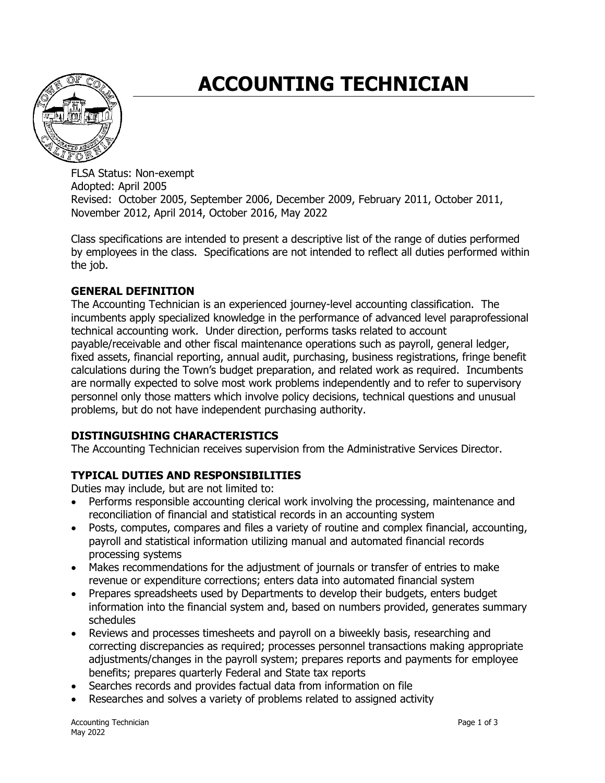# **ACCOUNTING TECHNICIAN**



FLSA Status: Non-exempt Adopted: April 2005 Revised: October 2005, September 2006, December 2009, February 2011, October 2011, November 2012, April 2014, October 2016, May 2022

Class specifications are intended to present a descriptive list of the range of duties performed by employees in the class. Specifications are not intended to reflect all duties performed within the job.

# **GENERAL DEFINITION**

The Accounting Technician is an experienced journey-level accounting classification. The incumbents apply specialized knowledge in the performance of advanced level paraprofessional technical accounting work. Under direction, performs tasks related to account payable/receivable and other fiscal maintenance operations such as payroll, general ledger, fixed assets, financial reporting, annual audit, purchasing, business registrations, fringe benefit calculations during the Town's budget preparation, and related work as required. Incumbents are normally expected to solve most work problems independently and to refer to supervisory personnel only those matters which involve policy decisions, technical questions and unusual problems, but do not have independent purchasing authority.

## **DISTINGUISHING CHARACTERISTICS**

The Accounting Technician receives supervision from the Administrative Services Director.

# **TYPICAL DUTIES AND RESPONSIBILITIES**

Duties may include, but are not limited to:

- Performs responsible accounting clerical work involving the processing, maintenance and reconciliation of financial and statistical records in an accounting system
- Posts, computes, compares and files a variety of routine and complex financial, accounting, payroll and statistical information utilizing manual and automated financial records processing systems
- Makes recommendations for the adjustment of journals or transfer of entries to make revenue or expenditure corrections; enters data into automated financial system
- Prepares spreadsheets used by Departments to develop their budgets, enters budget information into the financial system and, based on numbers provided, generates summary schedules
- Reviews and processes timesheets and payroll on a biweekly basis, researching and correcting discrepancies as required; processes personnel transactions making appropriate adjustments/changes in the payroll system; prepares reports and payments for employee benefits; prepares quarterly Federal and State tax reports
- Searches records and provides factual data from information on file
- Researches and solves a variety of problems related to assigned activity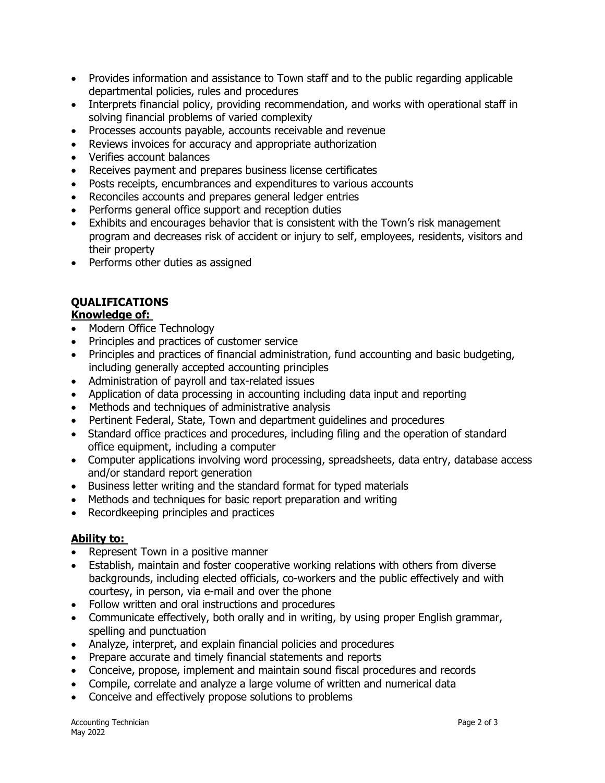- Provides information and assistance to Town staff and to the public regarding applicable departmental policies, rules and procedures
- Interprets financial policy, providing recommendation, and works with operational staff in solving financial problems of varied complexity
- Processes accounts payable, accounts receivable and revenue
- Reviews invoices for accuracy and appropriate authorization
- Verifies account balances
- Receives payment and prepares business license certificates
- Posts receipts, encumbrances and expenditures to various accounts
- Reconciles accounts and prepares general ledger entries
- Performs general office support and reception duties
- Exhibits and encourages behavior that is consistent with the Town's risk management program and decreases risk of accident or injury to self, employees, residents, visitors and their property
- Performs other duties as assigned

# **QUALIFICATIONS**

#### **Knowledge of:**

- Modern Office Technology
- Principles and practices of customer service
- Principles and practices of financial administration, fund accounting and basic budgeting, including generally accepted accounting principles
- Administration of payroll and tax-related issues
- Application of data processing in accounting including data input and reporting
- Methods and techniques of administrative analysis
- Pertinent Federal, State, Town and department guidelines and procedures
- Standard office practices and procedures, including filing and the operation of standard office equipment, including a computer
- Computer applications involving word processing, spreadsheets, data entry, database access and/or standard report generation
- Business letter writing and the standard format for typed materials
- Methods and techniques for basic report preparation and writing
- Recordkeeping principles and practices

#### **Ability to:**

- Represent Town in a positive manner
- Establish, maintain and foster cooperative working relations with others from diverse backgrounds, including elected officials, co-workers and the public effectively and with courtesy, in person, via e-mail and over the phone
- Follow written and oral instructions and procedures
- Communicate effectively, both orally and in writing, by using proper English grammar, spelling and punctuation
- Analyze, interpret, and explain financial policies and procedures
- Prepare accurate and timely financial statements and reports
- Conceive, propose, implement and maintain sound fiscal procedures and records
- Compile, correlate and analyze a large volume of written and numerical data
- Conceive and effectively propose solutions to problems